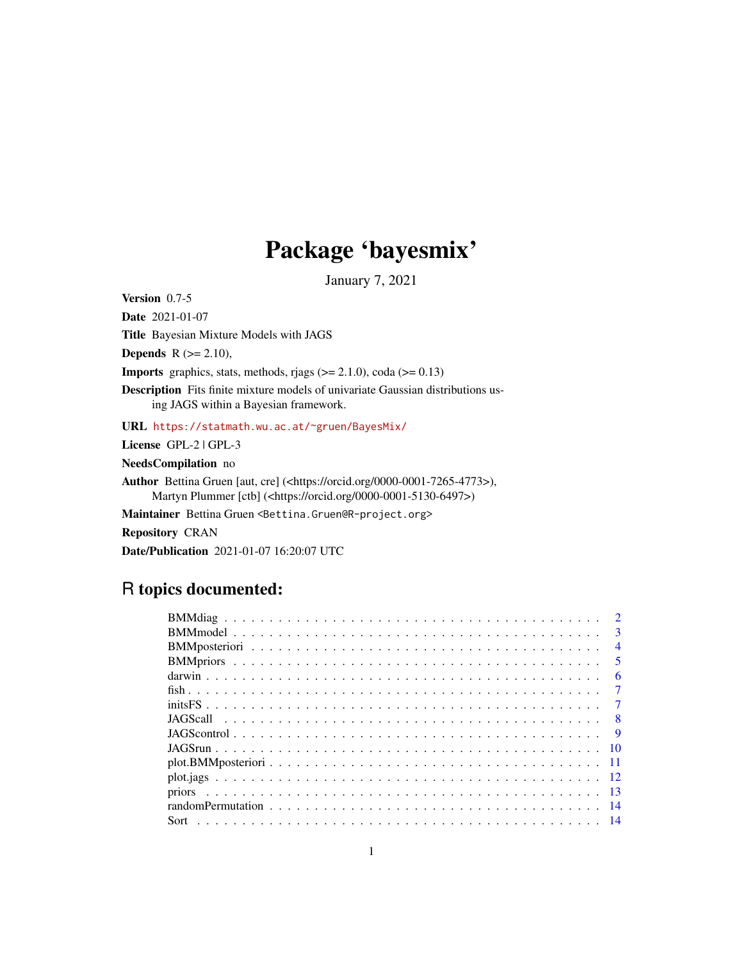## Package 'bayesmix'

January 7, 2021

<span id="page-0-0"></span>Version 0.7-5

Date 2021-01-07

Title Bayesian Mixture Models with JAGS

**Depends**  $R$  ( $>= 2.10$ ),

**Imports** graphics, stats, methods, rjags  $(>= 2.1.0)$ , coda  $(>= 0.13)$ 

Description Fits finite mixture models of univariate Gaussian distributions using JAGS within a Bayesian framework.

URL <https://statmath.wu.ac.at/~gruen/BayesMix/>

License GPL-2 | GPL-3

NeedsCompilation no

Author Bettina Gruen [aut, cre] (<https://orcid.org/0000-0001-7265-4773>), Martyn Plummer [ctb] (<https://orcid.org/0000-0001-5130-6497>)

Maintainer Bettina Gruen <Bettina.Gruen@R-project.org>

Repository CRAN

Date/Publication 2021-01-07 16:20:07 UTC

## R topics documented:

|  | $\overline{2}$          |
|--|-------------------------|
|  | $\mathbf{3}$            |
|  | $\overline{4}$          |
|  | $\overline{5}$          |
|  | -6                      |
|  | $\tau$                  |
|  | $\overline{7}$          |
|  |                         |
|  | $\overline{\mathbf{Q}}$ |
|  |                         |
|  |                         |
|  |                         |
|  |                         |
|  |                         |
|  |                         |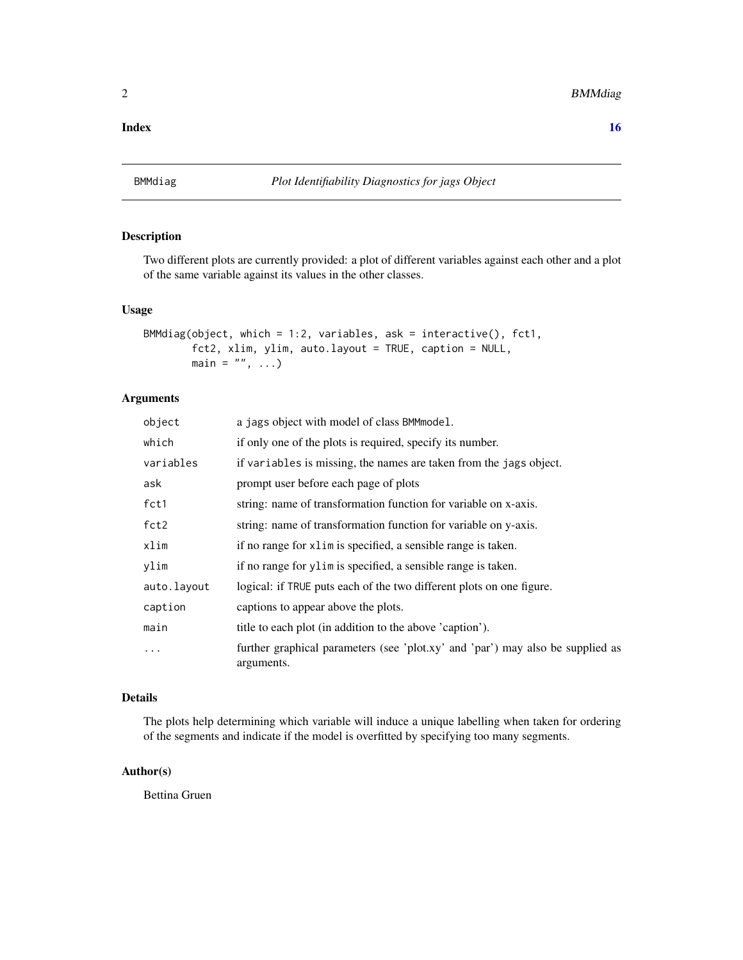#### <span id="page-1-0"></span>**Index** and the contract of the contract of the contract of the contract of the contract of the contract of the contract of the contract of the contract of the contract of the contract of the contract of the contract of th

<span id="page-1-1"></span>

## Description

Two different plots are currently provided: a plot of different variables against each other and a plot of the same variable against its values in the other classes.

#### Usage

```
BMMdiag(object, which = 1:2, variables, ask = interactive(), fct1,
        fct2, xlim, ylim, auto.layout = TRUE, caption = NULL,
        main = ", ...)
```
## Arguments

| object      | a jags object with model of class BMM model.                                                 |
|-------------|----------------------------------------------------------------------------------------------|
| which       | if only one of the plots is required, specify its number.                                    |
| variables   | if variables is missing, the names are taken from the jags object.                           |
| ask         | prompt user before each page of plots                                                        |
| fct1        | string: name of transformation function for variable on x-axis.                              |
| fct2        | string: name of transformation function for variable on y-axis.                              |
| xlim        | if no range for x1 im is specified, a sensible range is taken.                               |
| ylim        | if no range for ylim is specified, a sensible range is taken.                                |
| auto.layout | logical: if TRUE puts each of the two different plots on one figure.                         |
| caption     | captions to appear above the plots.                                                          |
| main        | title to each plot (in addition to the above 'caption').                                     |
| $\cdots$    | further graphical parameters (see 'plot.xy' and 'par') may also be supplied as<br>arguments. |

#### Details

The plots help determining which variable will induce a unique labelling when taken for ordering of the segments and indicate if the model is overfitted by specifying too many segments.

#### Author(s)

Bettina Gruen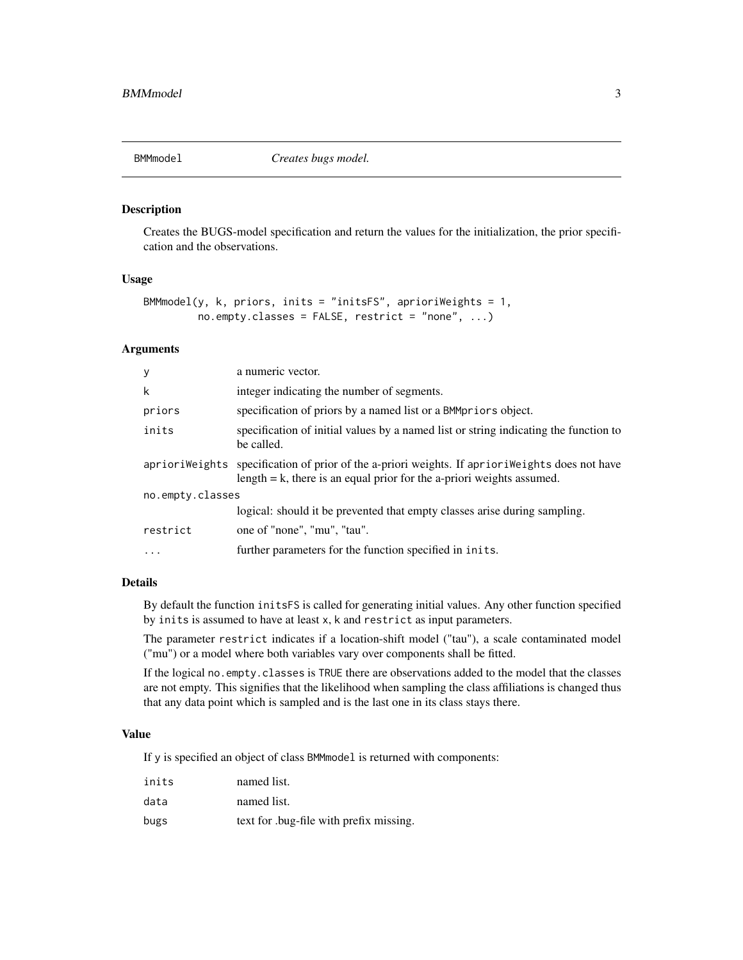<span id="page-2-1"></span><span id="page-2-0"></span>

#### Description

Creates the BUGS-model specification and return the values for the initialization, the prior specification and the observations.

## Usage

```
BMMmodel(y, k, priors, inits = "initsFS", a prioriWeights = 1,no. empty.classes = FALSE, restrict = "none", ...)
```
#### Arguments

| у                | a numeric vector.                                                                                                                                                            |
|------------------|------------------------------------------------------------------------------------------------------------------------------------------------------------------------------|
| k                | integer indicating the number of segments.                                                                                                                                   |
| priors           | specification of priors by a named list or a BMMpriors object.                                                                                                               |
| inits            | specification of initial values by a named list or string indicating the function to<br>be called.                                                                           |
|                  | apriori Weights specification of prior of the a-priori weights. If apriori Weights does not have<br>length $= k$ , there is an equal prior for the a-priori weights assumed. |
| no.empty.classes |                                                                                                                                                                              |
|                  | logical: should it be prevented that empty classes arise during sampling.                                                                                                    |
| restrict         | one of "none", "mu", "tau".                                                                                                                                                  |
| $\cdots$         | further parameters for the function specified in inits.                                                                                                                      |

#### Details

By default the function initsFS is called for generating initial values. Any other function specified by inits is assumed to have at least x, k and restrict as input parameters.

The parameter restrict indicates if a location-shift model ("tau"), a scale contaminated model ("mu") or a model where both variables vary over components shall be fitted.

If the logical no.empty.classes is TRUE there are observations added to the model that the classes are not empty. This signifies that the likelihood when sampling the class affiliations is changed thus that any data point which is sampled and is the last one in its class stays there.

#### Value

If y is specified an object of class BMMmodel is returned with components:

| inits | named list.                            |
|-------|----------------------------------------|
| data  | named list.                            |
| bugs  | text for bug-file with prefix missing. |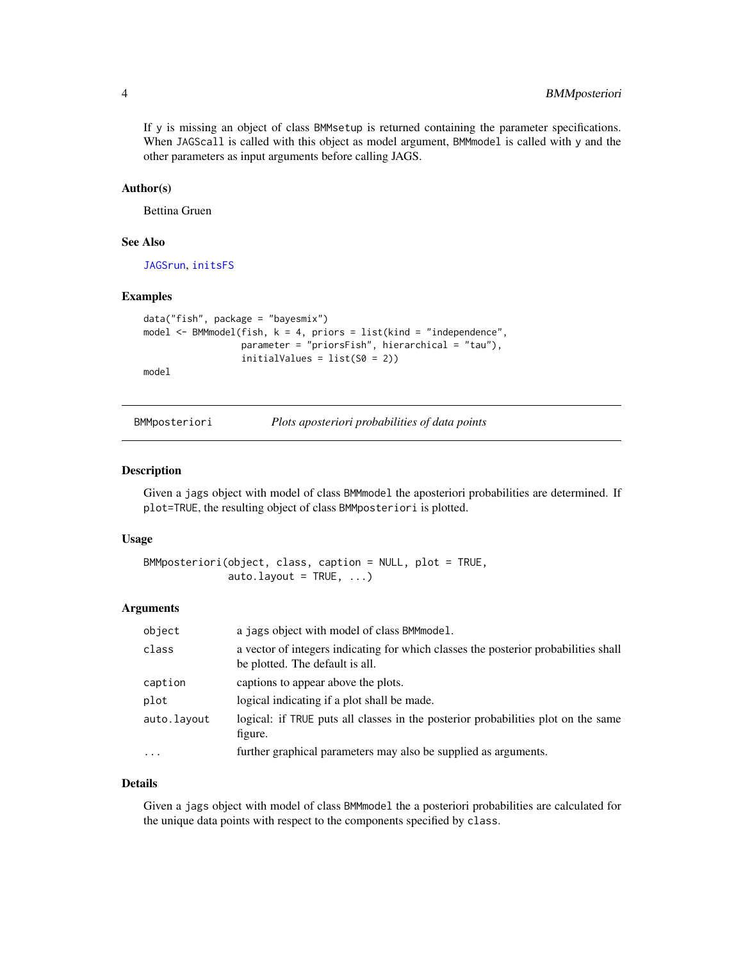<span id="page-3-0"></span>If y is missing an object of class BMMsetup is returned containing the parameter specifications. When JAGScall is called with this object as model argument, BMMmodel is called with y and the other parameters as input arguments before calling JAGS.

#### Author(s)

Bettina Gruen

## See Also

[JAGSrun](#page-9-1), [initsFS](#page-6-1)

#### Examples

```
data("fish", package = "bayesmix")
model \leq BMMmodel(fish, k = 4, priors = list(kind = "independence",
                  parameter = "priorsFish", hierarchical = "tau"),
                  initialValues = list(S0 = 2))model
```
<span id="page-3-1"></span>

| BMMposteriori | Plots aposteriori probabilities of data points |  |
|---------------|------------------------------------------------|--|
|               |                                                |  |

#### Description

Given a jags object with model of class BMMmodel the aposteriori probabilities are determined. If plot=TRUE, the resulting object of class BMMposteriori is plotted.

#### Usage

```
BMMposteriori(object, class, caption = NULL, plot = TRUE,
             auto.layout = TRUE, ...)
```
#### Arguments

| object      | a jags object with model of class BMMmodel.                                                                            |
|-------------|------------------------------------------------------------------------------------------------------------------------|
| class       | a vector of integers indicating for which classes the posterior probabilities shall<br>be plotted. The default is all. |
| caption     | captions to appear above the plots.                                                                                    |
| plot        | logical indicating if a plot shall be made.                                                                            |
| auto.layout | logical: if TRUE puts all classes in the posterior probabilities plot on the same<br>figure.                           |
| $\cdots$    | further graphical parameters may also be supplied as arguments.                                                        |

#### Details

Given a jags object with model of class BMMmodel the a posteriori probabilities are calculated for the unique data points with respect to the components specified by class.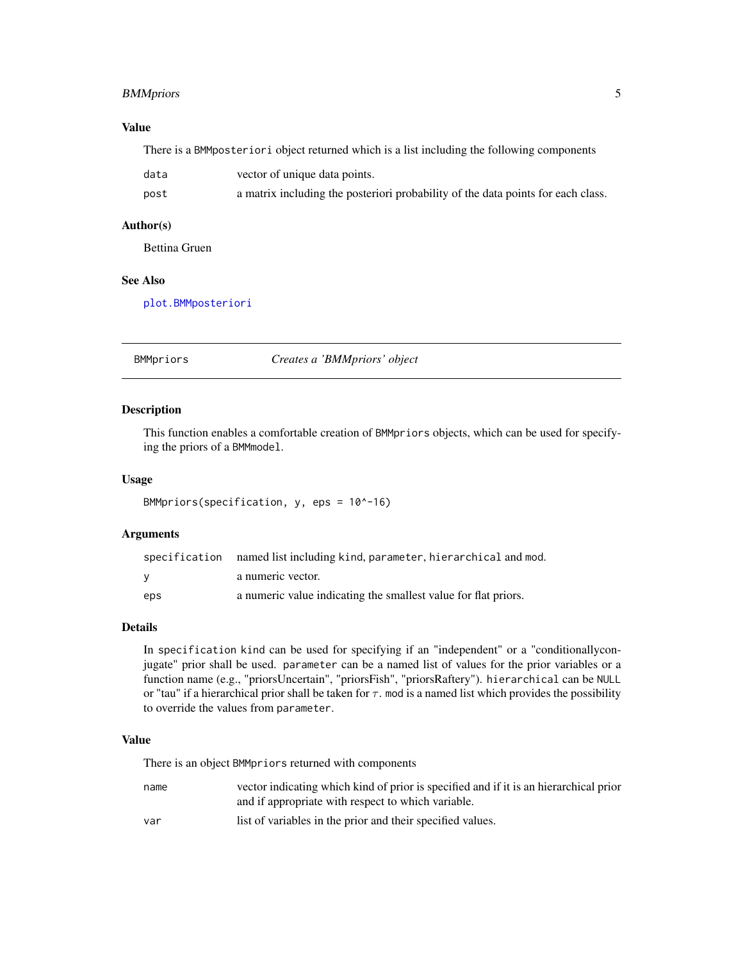## <span id="page-4-0"></span>BMMpriors 5

## Value

There is a BMMposteriori object returned which is a list including the following components

| data | vector of unique data points.                                                    |
|------|----------------------------------------------------------------------------------|
| post | a matrix including the posteriori probability of the data points for each class. |

## Author(s)

Bettina Gruen

## See Also

[plot.BMMposteriori](#page-10-1)

BMMpriors *Creates a 'BMMpriors' object*

#### Description

This function enables a comfortable creation of BMMpriors objects, which can be used for specifying the priors of a BMMmodel.

#### Usage

BMMpriors(specification, y, eps = 10^-16)

#### Arguments

|     | specification named list including kind, parameter, hierarchical and mod. |
|-----|---------------------------------------------------------------------------|
| v   | a numeric vector.                                                         |
| eps | a numeric value indicating the smallest value for flat priors.            |

## Details

In specification kind can be used for specifying if an "independent" or a "conditionallyconjugate" prior shall be used. parameter can be a named list of values for the prior variables or a function name (e.g., "priorsUncertain", "priorsFish", "priorsRaftery"). hierarchical can be NULL or "tau" if a hierarchical prior shall be taken for  $\tau$ . mod is a named list which provides the possibility to override the values from parameter.

#### Value

There is an object BMMpriors returned with components

| name | vector indicating which kind of prior is specified and if it is an hierarchical prior |
|------|---------------------------------------------------------------------------------------|
|      | and if appropriate with respect to which variable.                                    |
|      |                                                                                       |

var list of variables in the prior and their specified values.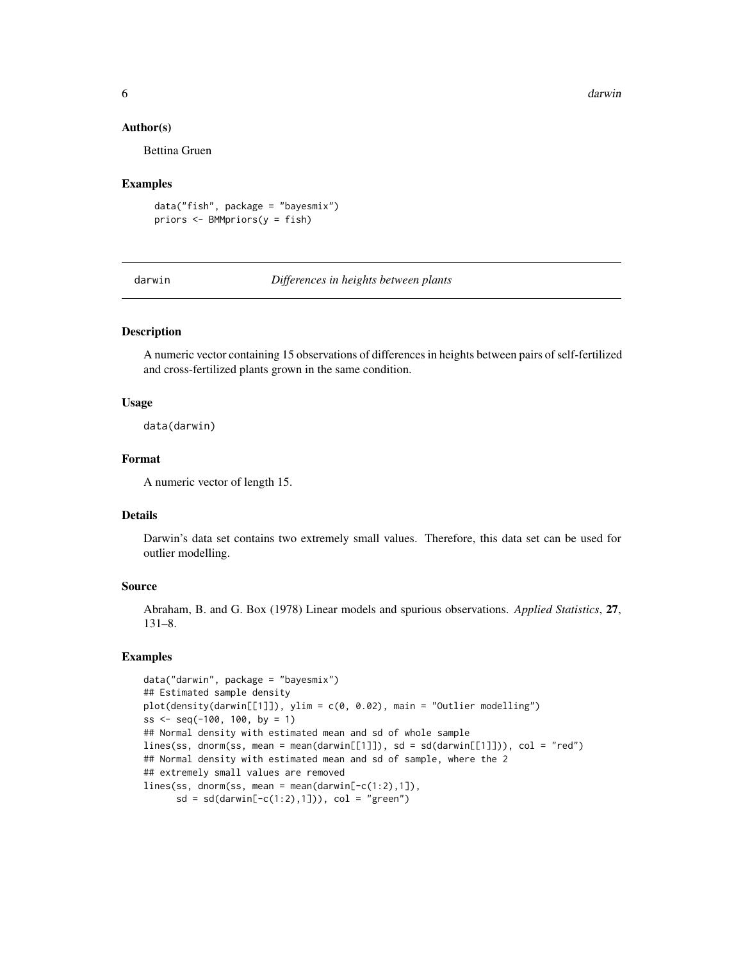6 darwin and the control of the control of the control of the control of the control of the control of the control of the control of the control of the control of the control of the control of the control of the control of

#### Author(s)

Bettina Gruen

#### Examples

data("fish", package = "bayesmix") priors <- BMMpriors(y = fish)

darwin *Differences in heights between plants*

## Description

A numeric vector containing 15 observations of differences in heights between pairs of self-fertilized and cross-fertilized plants grown in the same condition.

#### Usage

data(darwin)

## Format

A numeric vector of length 15.

#### Details

Darwin's data set contains two extremely small values. Therefore, this data set can be used for outlier modelling.

## Source

Abraham, B. and G. Box (1978) Linear models and spurious observations. *Applied Statistics*, 27, 131–8.

#### Examples

```
data("darwin", package = "bayesmix")
## Estimated sample density
plot(density(darwin[[1]]), ylim = c(0, 0.02), main = "Outlier modelling")
ss \leq seq(-100, 100, by = 1)
## Normal density with estimated mean and sd of whole sample
lines(ss, dnorm(ss, mean = mean(darwin[[1]]), sd = sd(darwin[[1]])), col = "red")
## Normal density with estimated mean and sd of sample, where the 2
## extremely small values are removed
lines(ss, dnorm(ss, mean = mean(darwin[-c(1:2),1]),
      sd = sd(darwin[-c(1:2),1])), col = "green")
```
<span id="page-5-0"></span>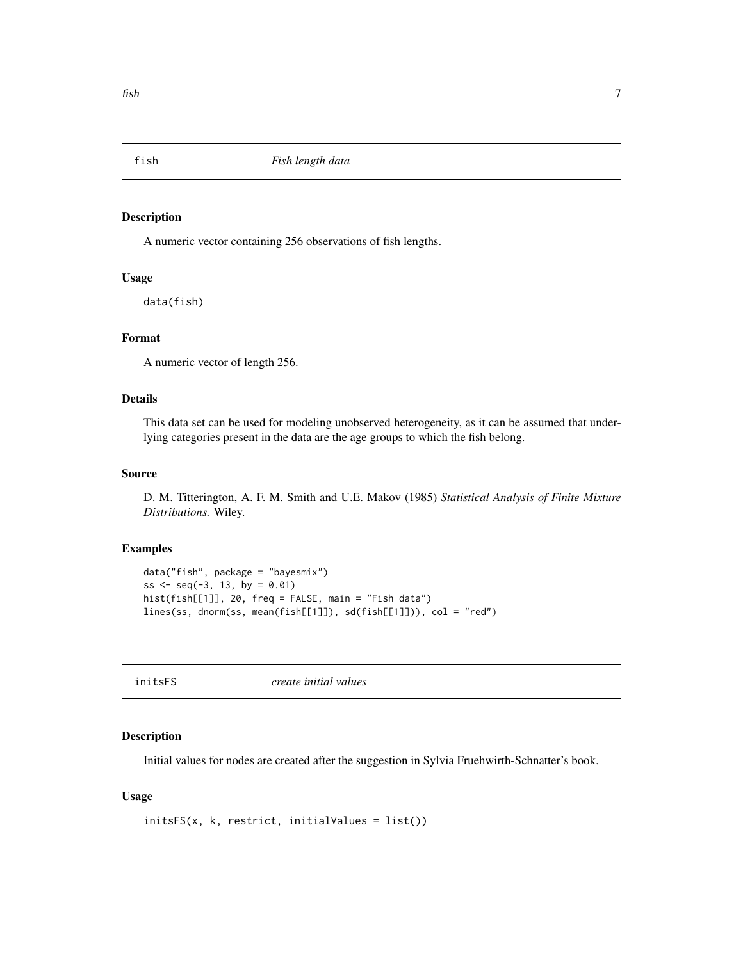<span id="page-6-0"></span>

#### Description

A numeric vector containing 256 observations of fish lengths.

#### Usage

data(fish)

## Format

A numeric vector of length 256.

## Details

This data set can be used for modeling unobserved heterogeneity, as it can be assumed that underlying categories present in the data are the age groups to which the fish belong.

#### Source

D. M. Titterington, A. F. M. Smith and U.E. Makov (1985) *Statistical Analysis of Finite Mixture Distributions.* Wiley.

### Examples

```
data("fish", package = "bayesmix")
ss <- seq(-3, 13, by = 0.01)hist(fish[[1]], 20, freq = FALSE, main = "Fish data")
lines(ss, dnorm(ss, mean(fish[[1]]), sd(fish[[1]])), col = "red")
```
<span id="page-6-1"></span>

| initsFS<br>create initial values |
|----------------------------------|
|----------------------------------|

#### Description

Initial values for nodes are created after the suggestion in Sylvia Fruehwirth-Schnatter's book.

#### Usage

```
initsFS(x, k, restrict, initialValues = list())
```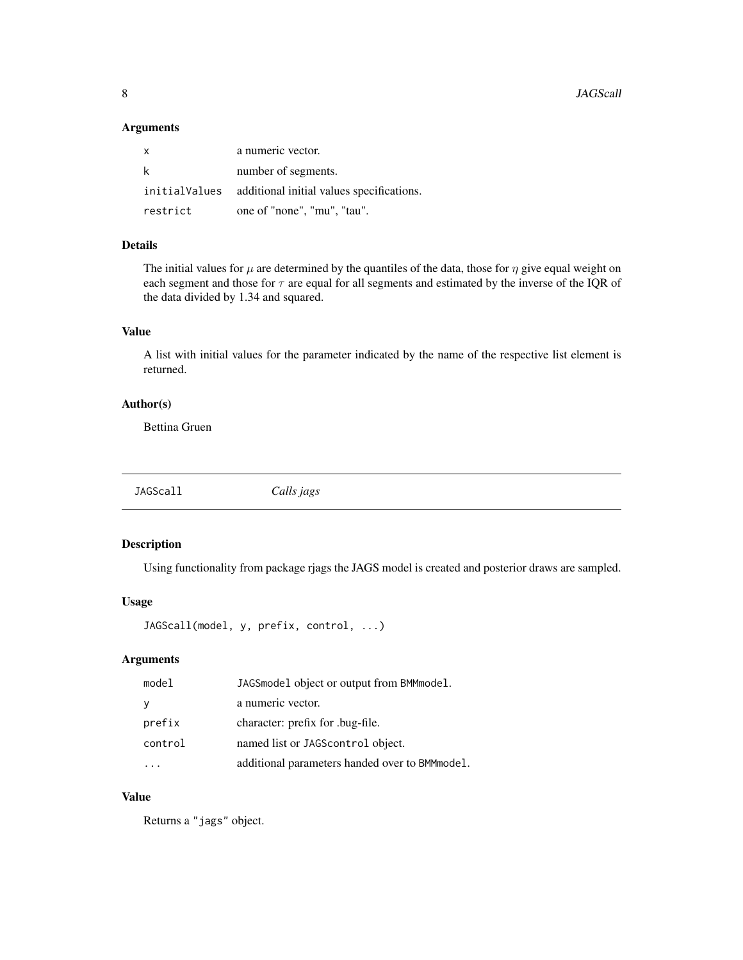<span id="page-7-0"></span>8 Second to the second second second second second second second second second second second second second second second second second second second second second second second second second second second second second sec

## Arguments

| $\mathsf{X}$ | a numeric vector.                                       |
|--------------|---------------------------------------------------------|
| -k           | number of segments.                                     |
|              | initialValues additional initial values specifications. |
| restrict     | one of "none", "mu", "tau".                             |

## Details

The initial values for  $\mu$  are determined by the quantiles of the data, those for  $\eta$  give equal weight on each segment and those for  $\tau$  are equal for all segments and estimated by the inverse of the IQR of the data divided by 1.34 and squared.

### Value

A list with initial values for the parameter indicated by the name of the respective list element is returned.

## Author(s)

Bettina Gruen

<span id="page-7-1"></span>JAGScall *Calls jags*

## Description

Using functionality from package rjags the JAGS model is created and posterior draws are sampled.

#### Usage

```
JAGScall(model, y, prefix, control, ...)
```
## Arguments

| model   | JAGSmodel object or output from BMMmodel.       |
|---------|-------------------------------------------------|
| y       | a numeric vector.                               |
| prefix  | character: prefix for .bug-file.                |
| control | named list or JAGScontrol object.               |
|         | additional parameters handed over to BMM model. |

#### Value

Returns a "jags" object.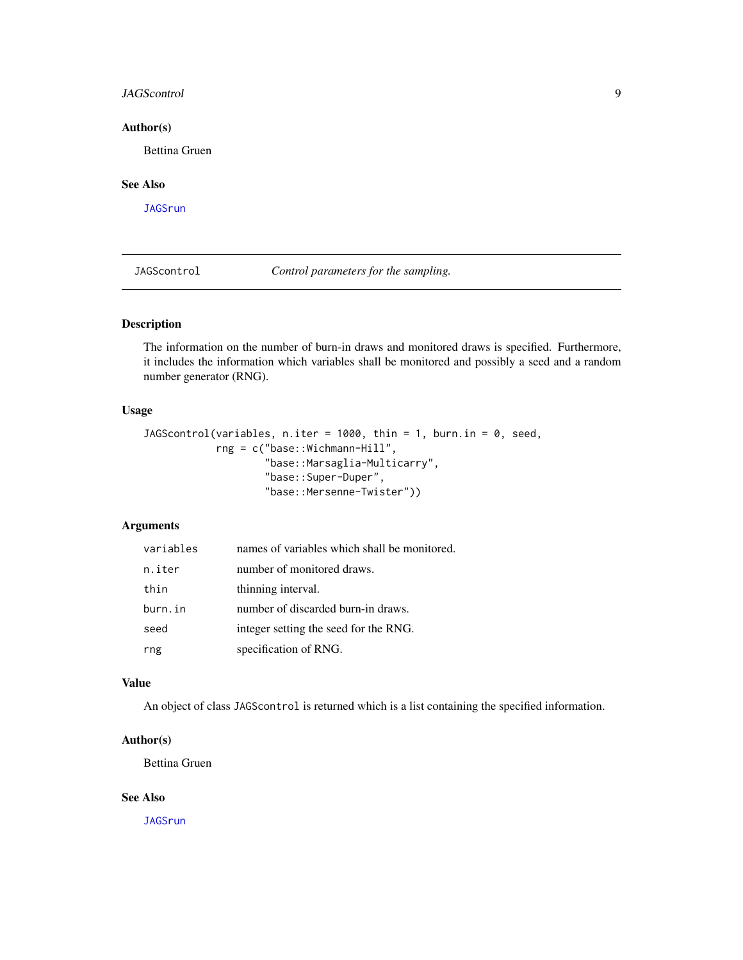#### <span id="page-8-0"></span>JAGScontrol 9

## Author(s)

Bettina Gruen

## See Also

**[JAGSrun](#page-9-1)** 

JAGScontrol *Control parameters for the sampling.*

## Description

The information on the number of burn-in draws and monitored draws is specified. Furthermore, it includes the information which variables shall be monitored and possibly a seed and a random number generator (RNG).

#### Usage

```
JAGScontrol(variables, n.iter = 1000, thin = 1, burn.in = 0, seed,
            rng = c("base::Wichmann-Hill",
                    "base::Marsaglia-Multicarry",
                    "base::Super-Duper",
                    "base::Mersenne-Twister"))
```
## Arguments

| variables | names of variables which shall be monitored. |
|-----------|----------------------------------------------|
| n.iter    | number of monitored draws.                   |
| thin      | thinning interval.                           |
| burn.in   | number of discarded burn-in draws.           |
| seed      | integer setting the seed for the RNG.        |
| rng       | specification of RNG.                        |

## Value

An object of class JAGScontrol is returned which is a list containing the specified information.

## Author(s)

Bettina Gruen

#### See Also

[JAGSrun](#page-9-1)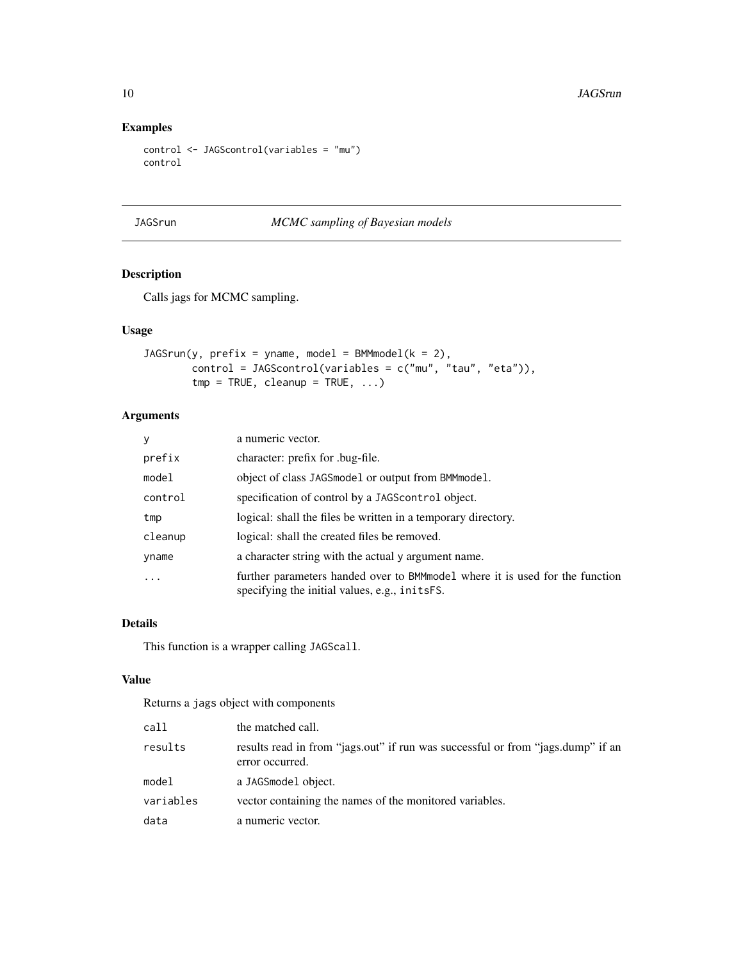## Examples

```
control <- JAGScontrol(variables = "mu")
control
```
<span id="page-9-1"></span>JAGSrun *MCMC sampling of Bayesian models*

## Description

Calls jags for MCMC sampling.

## Usage

```
JAGSrun(y, prefix = yname, model = BMMmodel(k = 2),control = JAGScontrol(variables = c("mu", "tau", "eta")),
       tmp = TRUE, cleanup = TRUE, ...)
```
## Arguments

| y       | a numeric vector.                                                                                                              |
|---------|--------------------------------------------------------------------------------------------------------------------------------|
| prefix  | character: prefix for .bug-file.                                                                                               |
| model   | object of class JAGSmodel or output from BMMmodel.                                                                             |
| control | specification of control by a JAGS control object.                                                                             |
| tmp     | logical: shall the files be written in a temporary directory.                                                                  |
| cleanup | logical: shall the created files be removed.                                                                                   |
| yname   | a character string with the actual y argument name.                                                                            |
| .       | further parameters handed over to BMM model where it is used for the function<br>specifying the initial values, e.g., initsFS. |

## Details

This function is a wrapper calling JAGScall.

## Value

Returns a jags object with components

| call      | the matched call.                                                                                  |
|-----------|----------------------------------------------------------------------------------------------------|
| results   | results read in from "jags.out" if run was successful or from "jags.dump" if an<br>error occurred. |
| model     | a JAGSmodel object.                                                                                |
| variables | vector containing the names of the monitored variables.                                            |
| data      | a numeric vector.                                                                                  |

<span id="page-9-0"></span>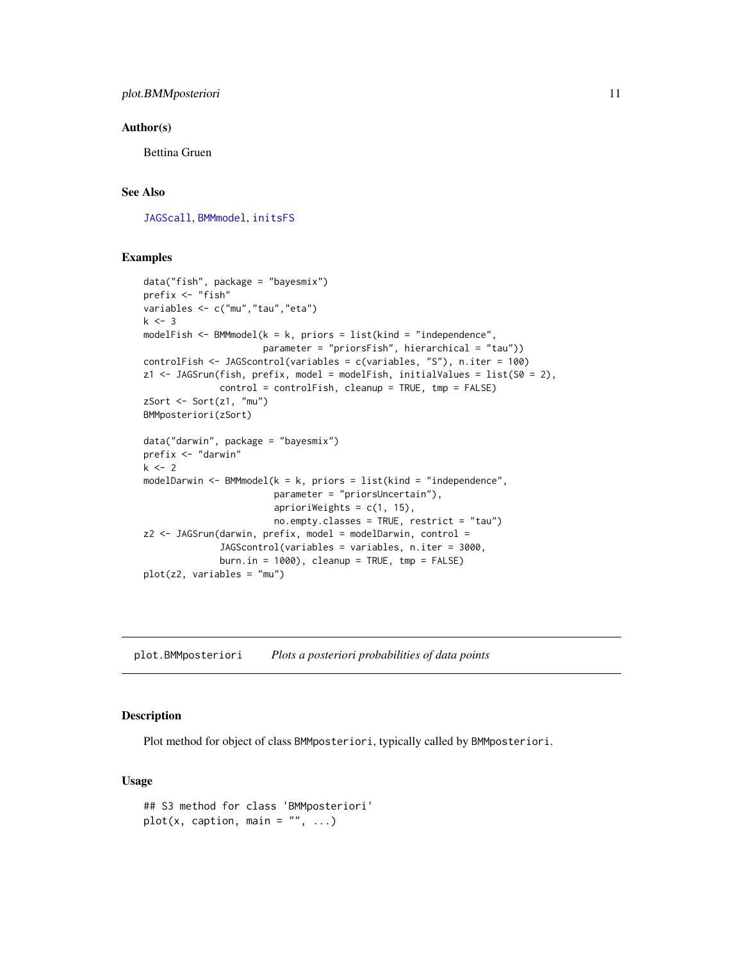#### <span id="page-10-0"></span>Author(s)

Bettina Gruen

## See Also

[JAGScall](#page-7-1), [BMMmodel](#page-2-1), [initsFS](#page-6-1)

#### Examples

```
data("fish", package = "bayesmix")
prefix <- "fish"
variables <- c("mu","tau","eta")
k \le -3modelFish \leq BMMmodel(k = k, priors = list(kind = "independence",
                     parameter = "priorsFish", hierarchical = "tau"))
controlFish <- JAGScontrol(variables = c(variables, "S"), n.iter = 100)
z1 <- JAGSrun(fish, prefix, model = modelFish, initialValues = list(S0 = 2),
              control = controlFish, cleanup = TRUE, tmp = FALSE)zSort <- Sort(z1, "mu")
BMMposteriori(zSort)
data("darwin", package = "bayesmix")
prefix <- "darwin"
k < -2modelDarwin <- BMMmodel(k = k, priors = list(kind = "independence",
                        parameter = "priorsUncertain"),
                        aprioriWeights = c(1, 15),
                        no.empty.classes = TRUE, restrict = "tau")
z2 \le - JAGSrun(darwin, prefix, model = modelDarwin, control =
              JAGScontrol(variables = variables, n.iter = 3000,
              burn.in = 1000), cleanup = TRUE, tmp = FALSE)
plot(z2, variables = "mu")
```
<span id="page-10-1"></span>plot.BMMposteriori *Plots a posteriori probabilities of data points*

#### Description

Plot method for object of class BMMposteriori, typically called by BMMposteriori.

#### Usage

```
## S3 method for class 'BMMposteriori'
plot(x, caption, main = "", ...)
```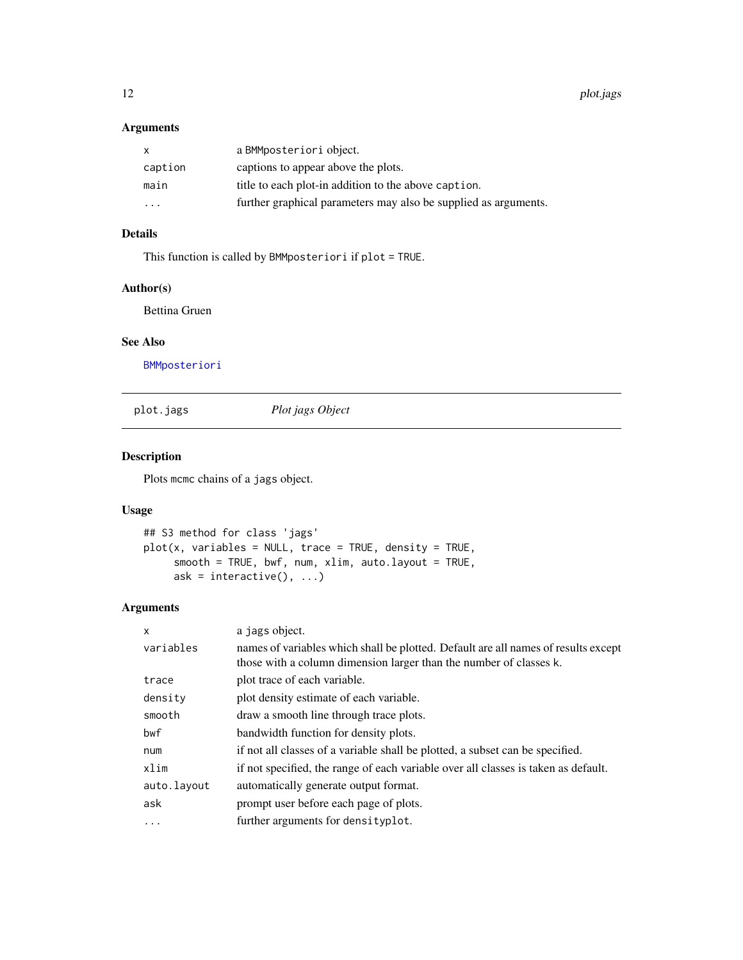## <span id="page-11-0"></span>Arguments

| $\mathsf{x}$ | a BMMposteriori object.                                         |
|--------------|-----------------------------------------------------------------|
| caption      | captions to appear above the plots.                             |
| main         | title to each plot-in addition to the above caption.            |
| .            | further graphical parameters may also be supplied as arguments. |

## Details

This function is called by BMMposteriori if plot = TRUE.

#### Author(s)

Bettina Gruen

#### See Also

[BMMposteriori](#page-3-1)

plot.jags *Plot jags Object*

## Description

Plots mcmc chains of a jags object.

#### Usage

```
## S3 method for class 'jags'
plot(x, variables = NULL, trace = TRUE, density = TRUE,
     smooth = TRUE, bwf, num, xlim, auto.layout = TRUE,
     ask = interactive(), \dots)
```
## Arguments

| X           | a jags object.                                                                     |
|-------------|------------------------------------------------------------------------------------|
| variables   | names of variables which shall be plotted. Default are all names of results except |
|             | those with a column dimension larger than the number of classes k.                 |
| trace       | plot trace of each variable.                                                       |
| density     | plot density estimate of each variable.                                            |
| smooth      | draw a smooth line through trace plots.                                            |
| bwf         | bandwidth function for density plots.                                              |
| num         | if not all classes of a variable shall be plotted, a subset can be specified.      |
| xlim        | if not specified, the range of each variable over all classes is taken as default. |
| auto.layout | automatically generate output format.                                              |
| ask         | prompt user before each page of plots.                                             |
| $\ddots$    | further arguments for densityplot.                                                 |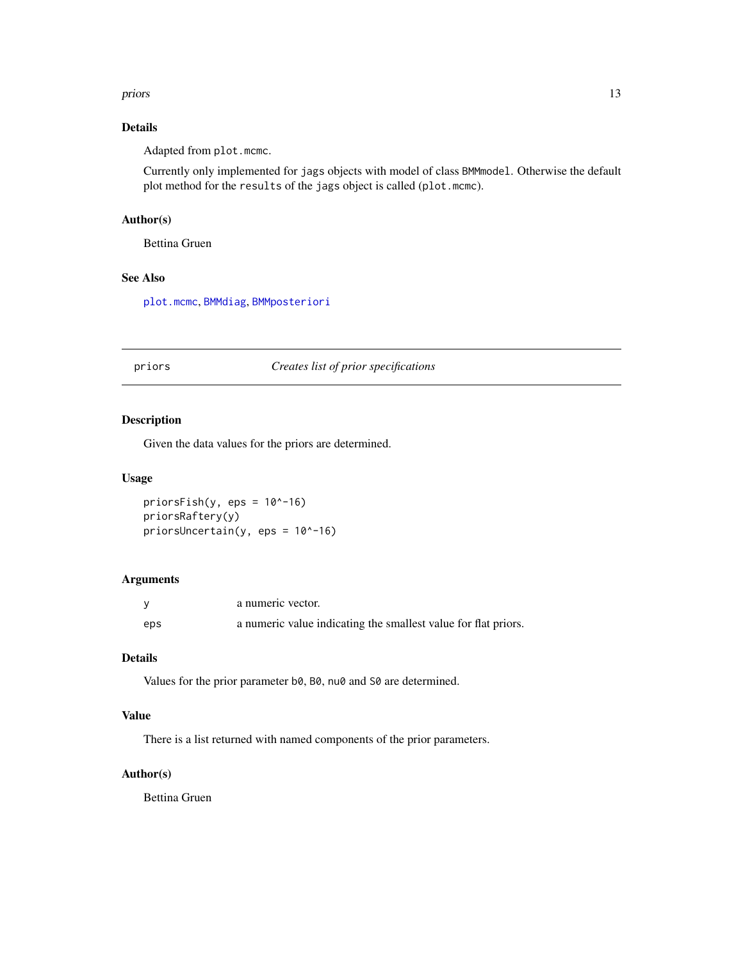#### <span id="page-12-0"></span>priors and the contract of the contract of the contract of the contract of the contract of the contract of the contract of the contract of the contract of the contract of the contract of the contract of the contract of the

## Details

Adapted from plot.mcmc.

Currently only implemented for jags objects with model of class BMMmodel. Otherwise the default plot method for the results of the jags object is called (plot.mcmc).

## Author(s)

Bettina Gruen

## See Also

[plot.mcmc](#page-0-0), [BMMdiag](#page-1-1), [BMMposteriori](#page-3-1)

priors *Creates list of prior specifications*

## Description

Given the data values for the priors are determined.

#### Usage

priorsFish(y,  $eps = 10^{\circ}$ -16) priorsRaftery(y) priorsUncertain(y, eps = 10^-16)

## Arguments

|     | a numeric vector.                                              |
|-----|----------------------------------------------------------------|
| eps | a numeric value indicating the smallest value for flat priors. |

#### Details

Values for the prior parameter b0, B0, nu0 and S0 are determined.

## Value

There is a list returned with named components of the prior parameters.

## Author(s)

Bettina Gruen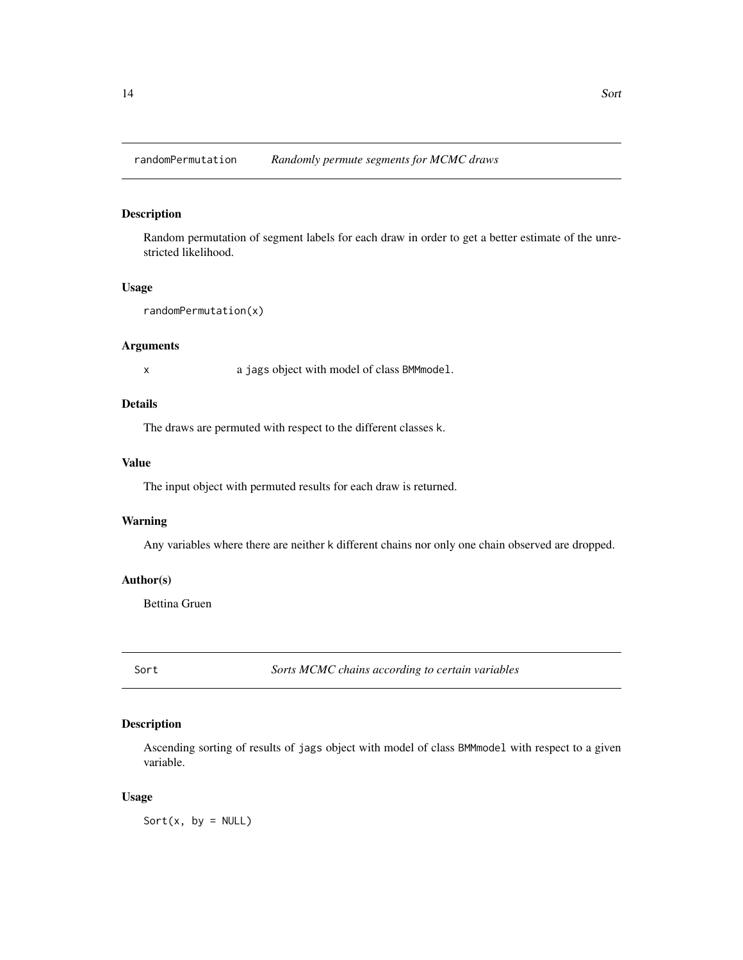<span id="page-13-0"></span>randomPermutation *Randomly permute segments for MCMC draws*

## Description

Random permutation of segment labels for each draw in order to get a better estimate of the unrestricted likelihood.

#### Usage

```
randomPermutation(x)
```
## Arguments

x a jags object with model of class BMMmodel.

#### Details

The draws are permuted with respect to the different classes k.

#### Value

The input object with permuted results for each draw is returned.

## Warning

Any variables where there are neither k different chains nor only one chain observed are dropped.

#### Author(s)

Bettina Gruen

Sort *Sorts MCMC chains according to certain variables*

## Description

Ascending sorting of results of jags object with model of class BMMmodel with respect to a given variable.

#### Usage

Sort $(x, by = NULL)$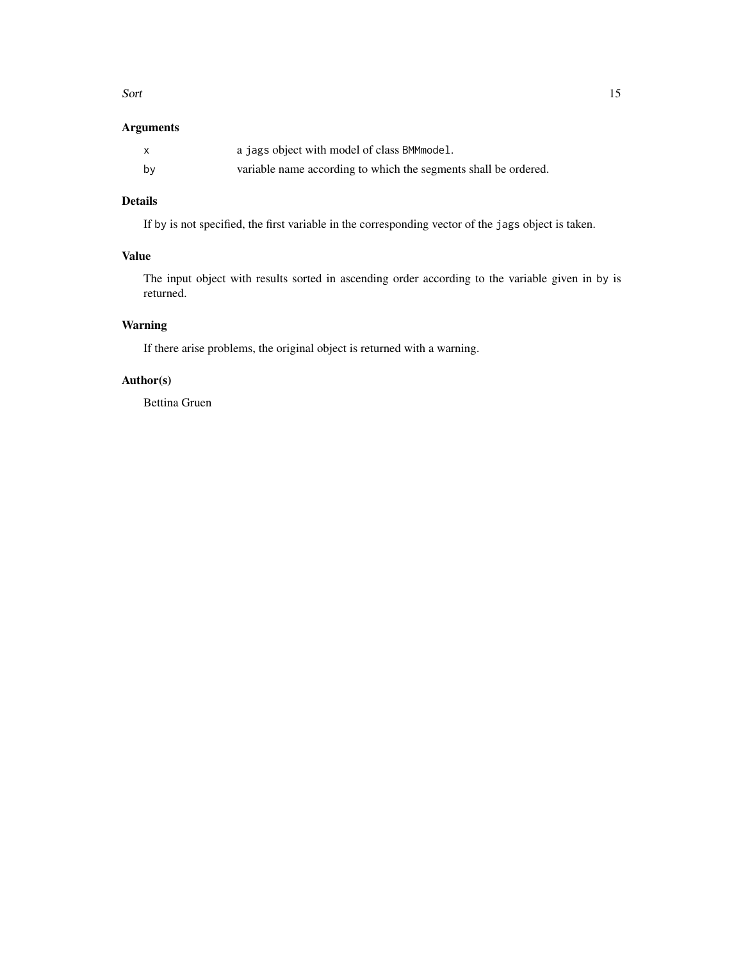#### Sort 15

## Arguments

|    | a jags object with model of class BMM model.                    |
|----|-----------------------------------------------------------------|
| by | variable name according to which the segments shall be ordered. |

## Details

If by is not specified, the first variable in the corresponding vector of the jags object is taken.

## Value

The input object with results sorted in ascending order according to the variable given in by is returned.

## Warning

If there arise problems, the original object is returned with a warning.

## Author(s)

Bettina Gruen